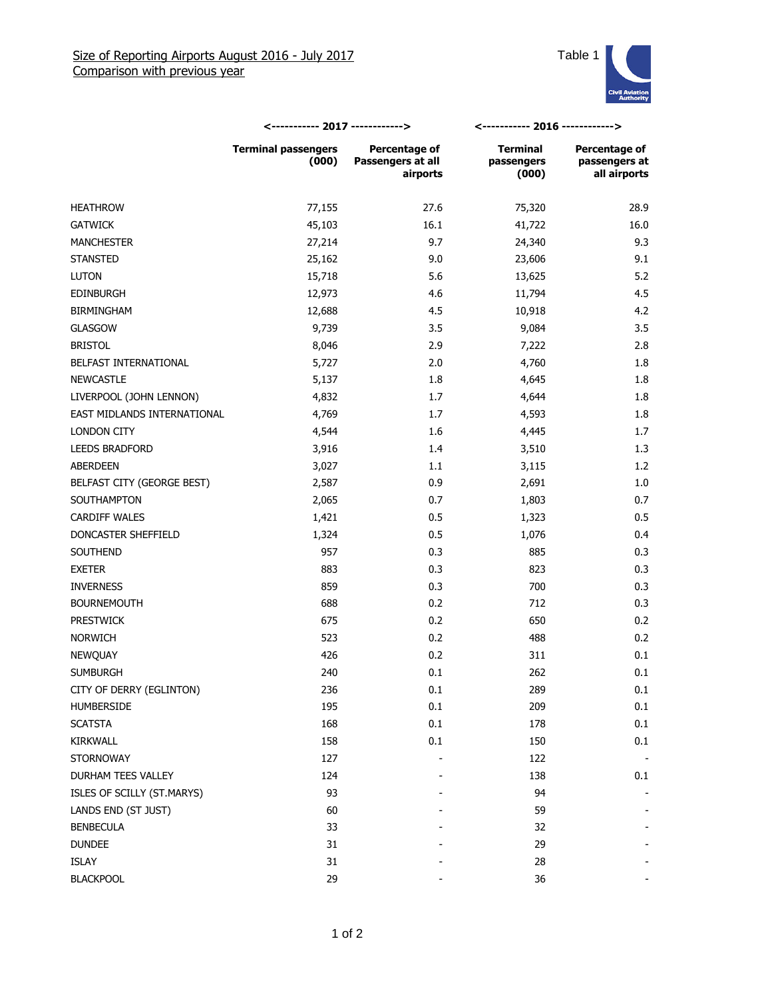

|                             | <----------- 2017 ------------>     |                                                | <----------- 2016 ------------>        |                                                |
|-----------------------------|-------------------------------------|------------------------------------------------|----------------------------------------|------------------------------------------------|
|                             | <b>Terminal passengers</b><br>(000) | Percentage of<br>Passengers at all<br>airports | <b>Terminal</b><br>passengers<br>(000) | Percentage of<br>passengers at<br>all airports |
| <b>HEATHROW</b>             | 77,155                              | 27.6                                           | 75,320                                 | 28.9                                           |
| <b>GATWICK</b>              | 45,103                              | 16.1                                           | 41,722                                 | 16.0                                           |
| <b>MANCHESTER</b>           | 27,214                              | 9.7                                            | 24,340                                 | 9.3                                            |
| <b>STANSTED</b>             | 25,162                              | 9.0                                            | 23,606                                 | 9.1                                            |
| <b>LUTON</b>                | 15,718                              | 5.6                                            | 13,625                                 | 5.2                                            |
| <b>EDINBURGH</b>            | 12,973                              | 4.6                                            | 11,794                                 | 4.5                                            |
| <b>BIRMINGHAM</b>           | 12,688                              | 4.5                                            | 10,918                                 | 4.2                                            |
| <b>GLASGOW</b>              | 9,739                               | 3.5                                            | 9,084                                  | 3.5                                            |
| <b>BRISTOL</b>              | 8,046                               | 2.9                                            | 7,222                                  | 2.8                                            |
| BELFAST INTERNATIONAL       | 5,727                               | 2.0                                            | 4,760                                  | 1.8                                            |
| <b>NEWCASTLE</b>            | 5,137                               | 1.8                                            | 4,645                                  | 1.8                                            |
| LIVERPOOL (JOHN LENNON)     | 4,832                               | 1.7                                            | 4,644                                  | 1.8                                            |
| EAST MIDLANDS INTERNATIONAL | 4,769                               | 1.7                                            | 4,593                                  | 1.8                                            |
| LONDON CITY                 | 4,544                               | 1.6                                            | 4,445                                  | 1.7                                            |
| <b>LEEDS BRADFORD</b>       | 3,916                               | 1.4                                            | 3,510                                  | 1.3                                            |
| ABERDEEN                    | 3,027                               | 1.1                                            | 3,115                                  | 1.2                                            |
| BELFAST CITY (GEORGE BEST)  | 2,587                               | 0.9                                            | 2,691                                  | 1.0                                            |
| SOUTHAMPTON                 | 2,065                               | 0.7                                            | 1,803                                  | 0.7                                            |
| <b>CARDIFF WALES</b>        | 1,421                               | 0.5                                            | 1,323                                  | 0.5                                            |
| DONCASTER SHEFFIELD         | 1,324                               | 0.5                                            | 1,076                                  | 0.4                                            |
| SOUTHEND                    | 957                                 | 0.3                                            | 885                                    | 0.3                                            |
| <b>EXETER</b>               | 883                                 | 0.3                                            | 823                                    | 0.3                                            |
| <b>INVERNESS</b>            | 859                                 | 0.3                                            | 700                                    | 0.3                                            |
| <b>BOURNEMOUTH</b>          | 688                                 | 0.2                                            | 712                                    | 0.3                                            |
| <b>PRESTWICK</b>            | 675                                 | 0.2                                            | 650                                    | 0.2                                            |
| <b>NORWICH</b>              | 523                                 | 0.2                                            | 488                                    | 0.2                                            |
| NEWQUAY                     | 426                                 | 0.2                                            | 311                                    | 0.1                                            |
| <b>SUMBURGH</b>             | 240                                 | 0.1                                            | 262                                    | 0.1                                            |
| CITY OF DERRY (EGLINTON)    | 236                                 | $0.1\,$                                        | 289                                    | 0.1                                            |
| HUMBERSIDE                  | 195                                 | 0.1                                            | 209                                    | 0.1                                            |
| <b>SCATSTA</b>              | 168                                 | 0.1                                            | 178                                    | 0.1                                            |
| <b>KIRKWALL</b>             | 158                                 | 0.1                                            | 150                                    | 0.1                                            |
| <b>STORNOWAY</b>            | 127                                 |                                                | 122                                    |                                                |
| DURHAM TEES VALLEY          | 124                                 |                                                | 138                                    | 0.1                                            |
| ISLES OF SCILLY (ST.MARYS)  | 93                                  |                                                | 94                                     |                                                |
| LANDS END (ST JUST)         | 60                                  |                                                | 59                                     |                                                |
| <b>BENBECULA</b>            | 33                                  |                                                | 32                                     |                                                |
| <b>DUNDEE</b>               | 31                                  |                                                | 29                                     |                                                |
| ISLAY                       | 31                                  |                                                | 28                                     |                                                |
| <b>BLACKPOOL</b>            | 29                                  |                                                | 36                                     |                                                |